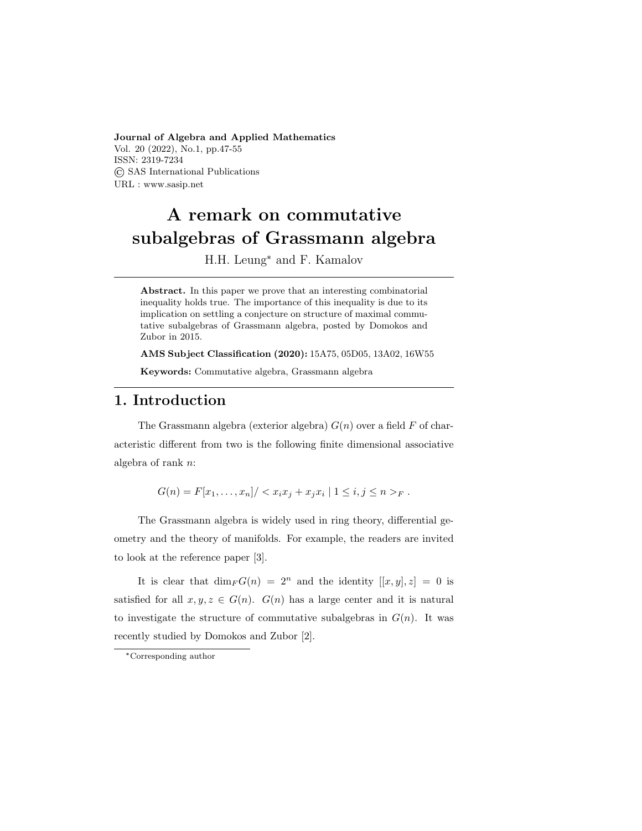Journal of Algebra and Applied Mathematics Vol. 20 (2022), No.1, pp.47-55 ISSN: 2319-7234 © SAS International Publications URL : www.sasip.net

# A remark on commutative subalgebras of Grassmann algebra

H.H. Leung\* and F. Kamalov

Abstract. In this paper we prove that an interesting combinatorial inequality holds true. The importance of this inequality is due to its implication on settling a conjecture on structure of maximal commutative subalgebras of Grassmann algebra, posted by Domokos and Zubor in 2015.

AMS Subject Classification (2020): 15A75, 05D05, 13A02, 16W55 Keywords: Commutative algebra, Grassmann algebra

### 1. Introduction

The Grassmann algebra (exterior algebra)  $G(n)$  over a field F of characteristic different from two is the following finite dimensional associative algebra of rank n:

 $G(n) = F[x_1, \ldots, x_n] / \langle x_i x_j + x_j x_i | 1 \le i, j \le n \rangle_F$ .

The Grassmann algebra is widely used in ring theory, differential geometry and the theory of manifolds. For example, the readers are invited to look at the reference paper [3].

It is clear that  $\dim_F G(n) = 2^n$  and the identity  $[[x, y], z] = 0$  is satisfied for all  $x, y, z \in G(n)$ .  $G(n)$  has a large center and it is natural to investigate the structure of commutative subalgebras in  $G(n)$ . It was recently studied by Domokos and Zubor [2].

<sup>\*</sup>Corresponding author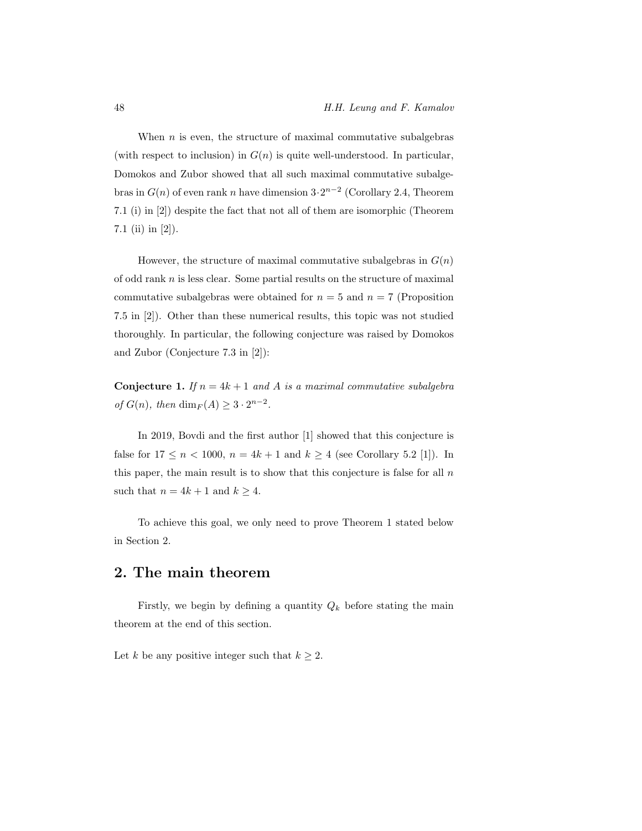When  $n$  is even, the structure of maximal commutative subalgebras (with respect to inclusion) in  $G(n)$  is quite well-understood. In particular, Domokos and Zubor showed that all such maximal commutative subalgebras in  $G(n)$  of even rank n have dimension  $3 \cdot 2^{n-2}$  (Corollary 2.4, Theorem 7.1 (i) in [2]) despite the fact that not all of them are isomorphic (Theorem 7.1 (ii) in [2]).

However, the structure of maximal commutative subalgebras in  $G(n)$ of odd rank  $n$  is less clear. Some partial results on the structure of maximal commutative subalgebras were obtained for  $n = 5$  and  $n = 7$  (Proposition 7.5 in [2]). Other than these numerical results, this topic was not studied thoroughly. In particular, the following conjecture was raised by Domokos and Zubor (Conjecture 7.3 in [2]):

**Conjecture 1.** If  $n = 4k + 1$  and A is a maximal commutative subalgebra of  $G(n)$ , then  $\dim_F(A) \geq 3 \cdot 2^{n-2}$ .

In 2019, Bovdi and the first author [1] showed that this conjecture is false for  $17 \le n < 1000$ ,  $n = 4k + 1$  and  $k \ge 4$  (see Corollary 5.2 [1]). In this paper, the main result is to show that this conjecture is false for all  $n$ such that  $n = 4k + 1$  and  $k \ge 4$ .

To achieve this goal, we only need to prove Theorem 1 stated below in Section 2.

#### 2. The main theorem

Firstly, we begin by defining a quantity  $Q_k$  before stating the main theorem at the end of this section.

Let k be any positive integer such that  $k \geq 2$ .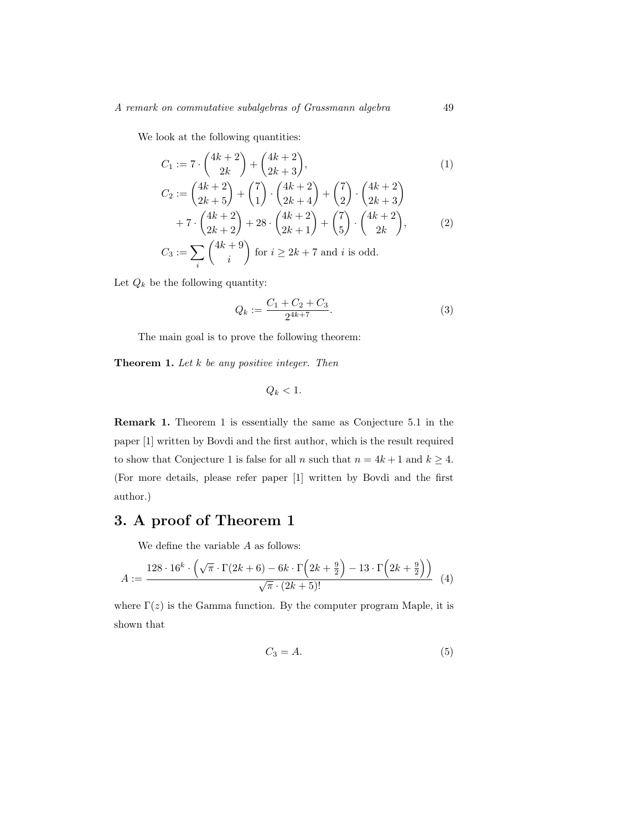We look at the following quantities:

$$
C_1 := 7 \cdot \binom{4k+2}{2k} + \binom{4k+2}{2k+3},\tag{1}
$$

$$
C_2 := \binom{4k+2}{2k+5} + \binom{7}{1} \cdot \binom{4k+2}{2k+4} + \binom{7}{2} \cdot \binom{4k+2}{2k+3} + 7 \cdot \binom{4k+2}{2k+2} + 28 \cdot \binom{4k+2}{2k+1} + \binom{7}{5} \cdot \binom{4k+2}{2k},
$$
\n(2)

$$
C_3 := \sum_i \binom{4k+9}{i} \text{ for } i \ge 2k+7 \text{ and } i \text{ is odd.}
$$

Let  $Q_k$  be the following quantity:

$$
Q_k := \frac{C_1 + C_2 + C_3}{2^{4k + 7}}.\tag{3}
$$

The main goal is to prove the following theorem:

**Theorem 1.** Let  $k$  be any positive integer. Then

$$
Q_k < 1.
$$

Remark 1. Theorem 1 is essentially the same as Conjecture 5.1 in the paper [1] written by Bovdi and the first author, which is the result required to show that Conjecture 1 is false for all n such that  $n = 4k + 1$  and  $k \ge 4$ . (For more details, please refer paper [1] written by Bovdi and the first author.)

# 3. A proof of Theorem 1

We define the variable A as follows:

$$
A := \frac{128 \cdot 16^k \cdot \left(\sqrt{\pi} \cdot \Gamma(2k+6) - 6k \cdot \Gamma\left(2k+\frac{9}{2}\right) - 13 \cdot \Gamma\left(2k+\frac{9}{2}\right)\right)}{\sqrt{\pi} \cdot (2k+5)!} \tag{4}
$$

where  $\Gamma(z)$  is the Gamma function. By the computer program Maple, it is shown that

$$
C_3 = A.\t\t(5)
$$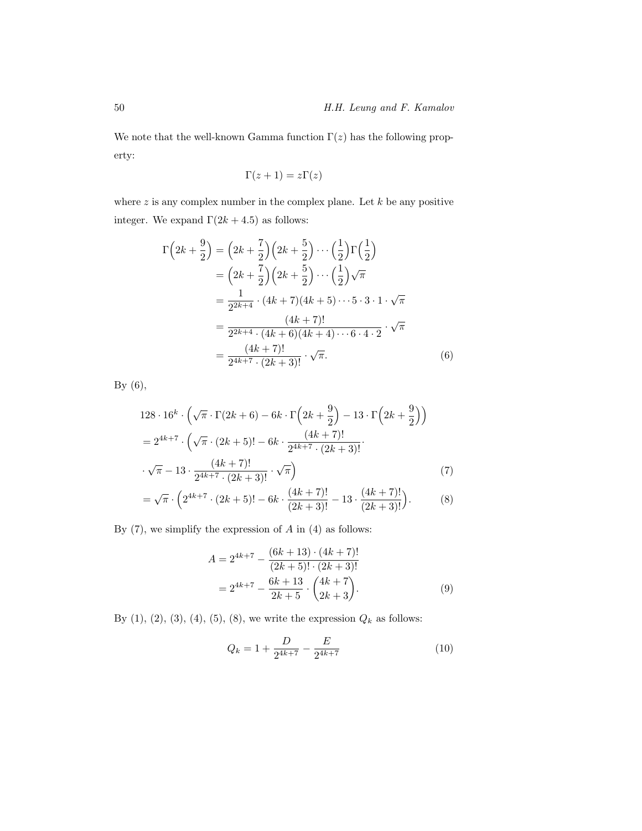We note that the well-known Gamma function  $\Gamma(z)$  has the following property:

$$
\Gamma(z+1) = z\Gamma(z)
$$

where  $z$  is any complex number in the complex plane. Let  $k$  be any positive integer. We expand  $\Gamma(2k+4.5)$  as follows:

$$
\Gamma\left(2k+\frac{9}{2}\right) = \left(2k+\frac{7}{2}\right)\left(2k+\frac{5}{2}\right)\cdots\left(\frac{1}{2}\right)\Gamma\left(\frac{1}{2}\right)
$$

$$
= \left(2k+\frac{7}{2}\right)\left(2k+\frac{5}{2}\right)\cdots\left(\frac{1}{2}\right)\sqrt{\pi}
$$

$$
= \frac{1}{2^{2k+4}}\cdot(4k+7)(4k+5)\cdots5\cdot3\cdot1\cdot\sqrt{\pi}
$$

$$
= \frac{(4k+7)!}{2^{2k+4}\cdot(4k+6)(4k+4)\cdots6\cdot4\cdot2}\cdot\sqrt{\pi}
$$

$$
= \frac{(4k+7)!}{2^{4k+7}\cdot(2k+3)!}\cdot\sqrt{\pi}.
$$
(6)

By (6),

$$
128 \cdot 16^{k} \cdot \left(\sqrt{\pi} \cdot \Gamma(2k+6) - 6k \cdot \Gamma\left(2k+\frac{9}{2}\right) - 13 \cdot \Gamma\left(2k+\frac{9}{2}\right)\right)
$$
  
=  $2^{4k+7} \cdot \left(\sqrt{\pi} \cdot (2k+5)! - 6k \cdot \frac{(4k+7)!}{2^{4k+7} \cdot (2k+3)!} \cdot \sqrt{\pi} - 13 \cdot \frac{(4k+7)!}{2^{4k+7} \cdot (2k+3)!} \cdot \sqrt{\pi}\right)$  (7)

$$
= \sqrt{\pi} \cdot \left( 2^{4k+7} \cdot (2k+5)! - 6k \cdot \frac{(4k+7)!}{(2k+3)!} - 13 \cdot \frac{(4k+7)!}{(2k+3)!} \right). \tag{8}
$$

By  $(7)$ , we simplify the expression of  $A$  in  $(4)$  as follows:

$$
A = 2^{4k+7} - \frac{(6k+13) \cdot (4k+7)!}{(2k+5)! \cdot (2k+3)!}
$$
  
=  $2^{4k+7} - \frac{6k+13}{2k+5} \cdot \binom{4k+7}{2k+3}$ . (9)

By (1), (2), (3), (4), (5), (8), we write the expression  $\mathbb{Q}_k$  as follows:

$$
Q_k = 1 + \frac{D}{2^{4k+7}} - \frac{E}{2^{4k+7}}
$$
\n(10)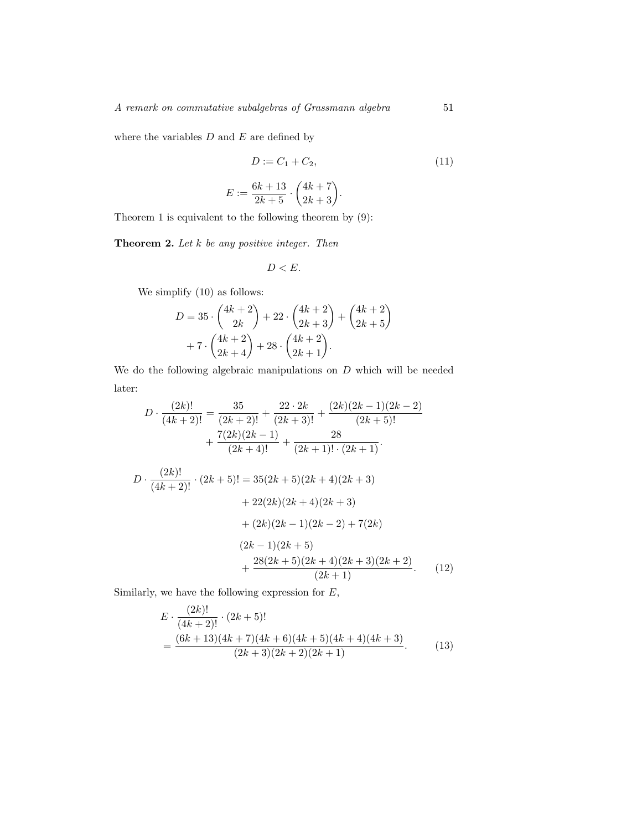where the variables  $D$  and  $E$  are defined by

$$
D := C_1 + C_2,\t\t(11)
$$

$$
E := \frac{6k+13}{2k+5} \cdot \binom{4k+7}{2k+3}.
$$

Theorem 1 is equivalent to the following theorem by (9):

**Theorem 2.** Let  $k$  be any positive integer. Then

$$
D
$$

We simplify (10) as follows:

$$
D = 35 \cdot \binom{4k+2}{2k} + 22 \cdot \binom{4k+2}{2k+3} + \binom{4k+2}{2k+5} + 7 \cdot \binom{4k+2}{2k+4} + 28 \cdot \binom{4k+2}{2k+1}.
$$

We do the following algebraic manipulations on  $D$  which will be needed later:

$$
D \cdot \frac{(2k)!}{(4k+2)!} = \frac{35}{(2k+2)!} + \frac{22 \cdot 2k}{(2k+3)!} + \frac{(2k)(2k-1)(2k-2)}{(2k+5)!} + \frac{7(2k)(2k-1)}{(2k+4)!} + \frac{28}{(2k+1)! \cdot (2k+1)}.
$$
  

$$
D \cdot \frac{(2k)!}{(4k+2)!} \cdot (2k+5)! = 35(2k+5)(2k+4)(2k+3) + 22(2k)(2k+4)(2k+3) + (2k)(2k-1)(2k-2) + 7(2k) + (2k)(2k+5) + \frac{28(2k+5)(2k+4)(2k+3)(2k+2)}{(2k+1)}. \tag{12}
$$

Similarly, we have the following expression for  $E$ ,

$$
E \cdot \frac{(2k)!}{(4k+2)!} \cdot (2k+5)!
$$
  
= 
$$
\frac{(6k+13)(4k+7)(4k+6)(4k+5)(4k+4)(4k+3)}{(2k+3)(2k+2)(2k+1)}.
$$
 (13)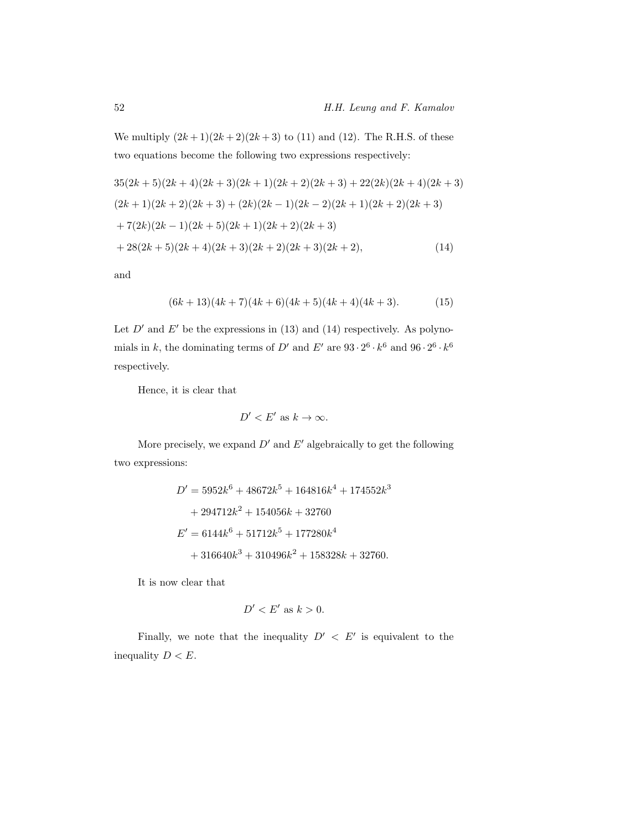We multiply  $(2k+1)(2k+2)(2k+3)$  to (11) and (12). The R.H.S. of these two equations become the following two expressions respectively:

$$
35(2k+5)(2k+4)(2k+3)(2k+1)(2k+2)(2k+3) + 22(2k)(2k+4)(2k+3)
$$
  
\n
$$
(2k+1)(2k+2)(2k+3) + (2k)(2k-1)(2k-2)(2k+1)(2k+2)(2k+3)
$$
  
\n
$$
+ 7(2k)(2k-1)(2k+5)(2k+1)(2k+2)(2k+3)
$$
  
\n
$$
+ 28(2k+5)(2k+4)(2k+3)(2k+2)(2k+3)(2k+2),
$$
\n(14)

and

$$
(6k+13)(4k+7)(4k+6)(4k+5)(4k+4)(4k+3). \t(15)
$$

Let  $D'$  and  $E'$  be the expressions in (13) and (14) respectively. As polynomials in k, the dominating terms of D' and E' are  $93 \cdot 2^6 \cdot k^6$  and  $96 \cdot 2^6 \cdot k^6$ respectively.

Hence, it is clear that

$$
D'
$$

More precisely, we expand  $D'$  and  $E'$  algebraically to get the following two expressions:

$$
D' = 5952k^{6} + 48672k^{5} + 164816k^{4} + 174552k^{3}
$$
  
+ 294712k<sup>2</sup> + 154056k + 32760  

$$
E' = 6144k^{6} + 51712k^{5} + 177280k^{4}
$$
  
+ 316640k<sup>3</sup> + 310496k<sup>2</sup> + 158328k + 32760.

It is now clear that

$$
D' < E' \text{ as } k > 0.
$$

Finally, we note that the inequality  $D' < E'$  is equivalent to the inequality  $D < E$ .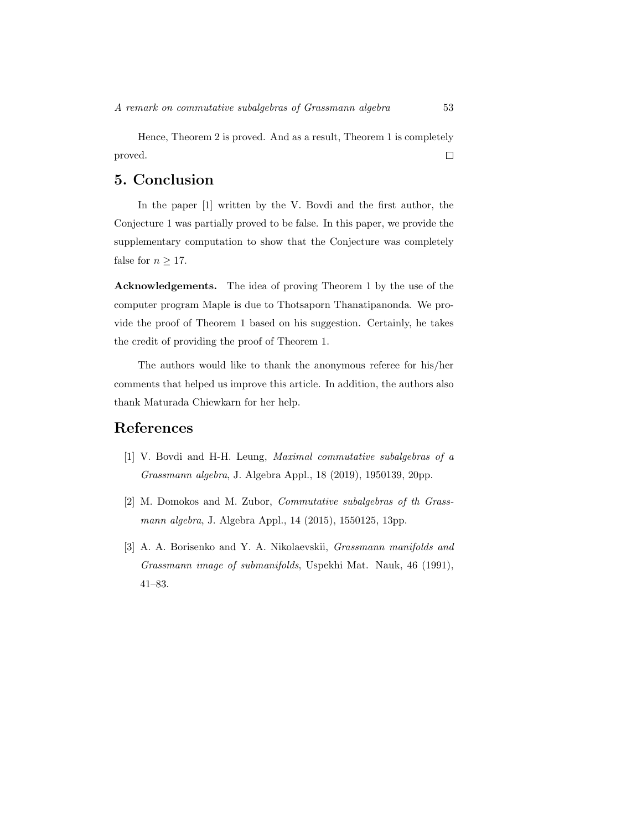Hence, Theorem 2 is proved. And as a result, Theorem 1 is completely  $\Box$ proved.

## 5. Conclusion

In the paper [1] written by the V. Bovdi and the first author, the Conjecture 1 was partially proved to be false. In this paper, we provide the supplementary computation to show that the Conjecture was completely false for  $n \geq 17$ .

Acknowledgements. The idea of proving Theorem 1 by the use of the computer program Maple is due to Thotsaporn Thanatipanonda. We provide the proof of Theorem 1 based on his suggestion. Certainly, he takes the credit of providing the proof of Theorem 1.

The authors would like to thank the anonymous referee for his/her comments that helped us improve this article. In addition, the authors also thank Maturada Chiewkarn for her help.

### References

- [1] V. Bovdi and H-H. Leung, Maximal commutative subalgebras of a Grassmann algebra, J. Algebra Appl., 18 (2019), 1950139, 20pp.
- [2] M. Domokos and M. Zubor, Commutative subalgebras of th Grassmann algebra, J. Algebra Appl., 14 (2015), 1550125, 13pp.
- [3] A. A. Borisenko and Y. A. Nikolaevskii, *Grassmann manifolds and* Grassmann image of submanifolds, Uspekhi Mat. Nauk, 46 (1991), 41–83.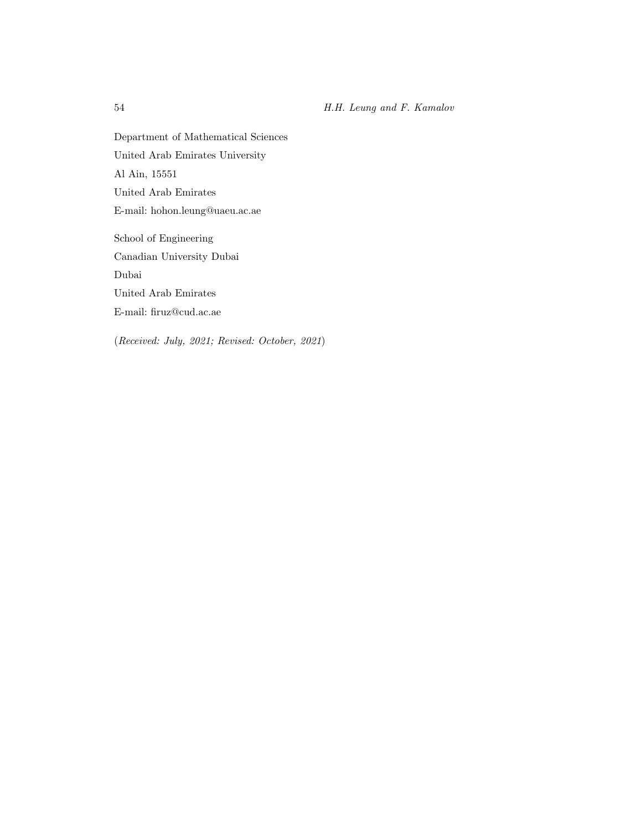Department of Mathematical Sciences United Arab Emirates University Al Ain, 15551 United Arab Emirates E-mail: hohon.leung@uaeu.ac.ae School of Engineering Canadian University Dubai Dubai

United Arab Emirates

E-mail: firuz@cud.ac.ae

(Received: July, 2021; Revised: October, 2021)